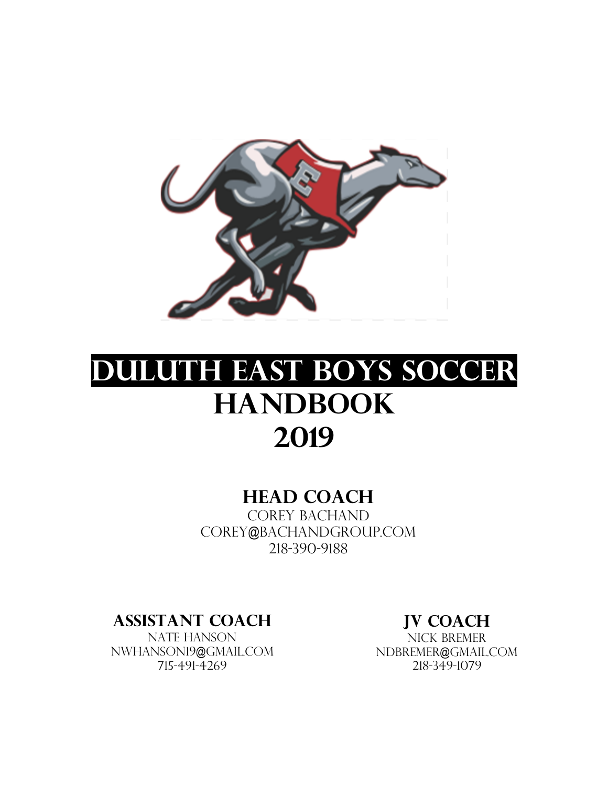

# **Duluth East Boys Soccer Handbook 2019**

### **Head Coach**

COREY BACHAND corey@bachandgroup.com 218-390-9188

**Assistant Coach** 

NATE HANSON Nwhanson19@gmail.com 715-491-4269

**JV Coach** 

Nick Bremer ndbremer@gmail.com 218-349-1079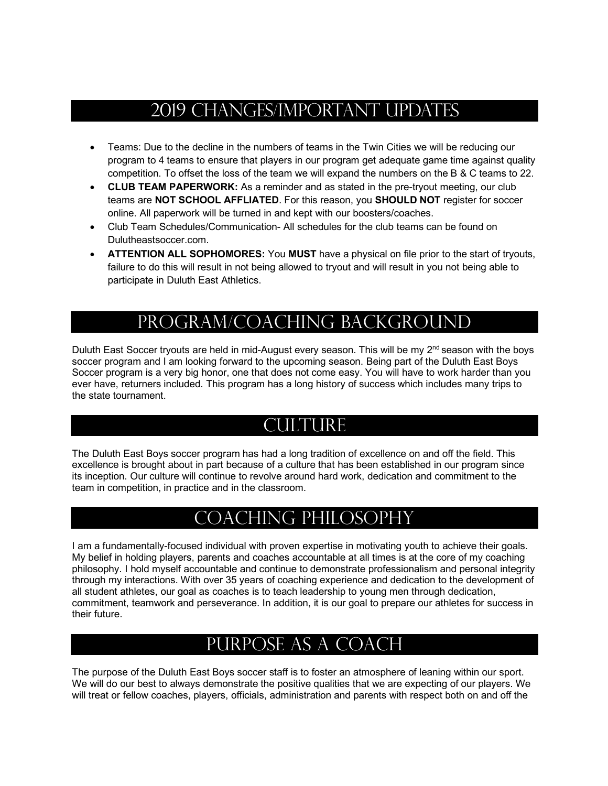## 2019 Changes/Important Updates

- Teams: Due to the decline in the numbers of teams in the Twin Cities we will be reducing our program to 4 teams to ensure that players in our program get adequate game time against quality competition. To offset the loss of the team we will expand the numbers on the B & C teams to 22.
- **CLUB TEAM PAPERWORK:** As a reminder and as stated in the pre-tryout meeting, our club teams are **NOT SCHOOL AFFLIATED**. For this reason, you **SHOULD NOT** register for soccer online. All paperwork will be turned in and kept with our boosters/coaches.
- Club Team Schedules/Communication- All schedules for the club teams can be found on Dulutheastsoccer.com.
- **ATTENTION ALL SOPHOMORES:** You **MUST** have a physical on file prior to the start of tryouts, failure to do this will result in not being allowed to tryout and will result in you not being able to participate in Duluth East Athletics.

# Program/Coaching Background

Duluth East Soccer tryouts are held in mid-August every season. This will be my 2<sup>nd</sup> season with the boys soccer program and I am looking forward to the upcoming season. Being part of the Duluth East Boys Soccer program is a very big honor, one that does not come easy. You will have to work harder than you ever have, returners included. This program has a long history of success which includes many trips to the state tournament.

## CULTURE

The Duluth East Boys soccer program has had a long tradition of excellence on and off the field. This excellence is brought about in part because of a culture that has been established in our program since its inception. Our culture will continue to revolve around hard work, dedication and commitment to the team in competition, in practice and in the classroom.

## Coaching Philosophy

I am a fundamentally-focused individual with proven expertise in motivating youth to achieve their goals. My belief in holding players, parents and coaches accountable at all times is at the core of my coaching philosophy. I hold myself accountable and continue to demonstrate professionalism and personal integrity through my interactions. With over 35 years of coaching experience and dedication to the development of all student athletes, our goal as coaches is to teach leadership to young men through dedication, commitment, teamwork and perseverance. In addition, it is our goal to prepare our athletes for success in their future.

# Purpose as a Coach

The purpose of the Duluth East Boys soccer staff is to foster an atmosphere of leaning within our sport. We will do our best to always demonstrate the positive qualities that we are expecting of our players. We will treat or fellow coaches, players, officials, administration and parents with respect both on and off the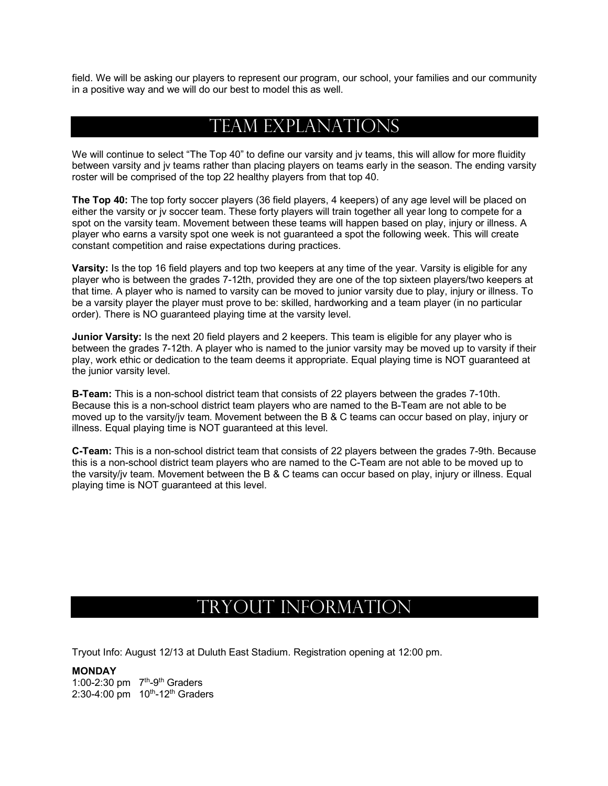field. We will be asking our players to represent our program, our school, your families and our community in a positive way and we will do our best to model this as well.

### Team Explanations

We will continue to select "The Top 40" to define our varsity and iv teams, this will allow for more fluidity between varsity and jv teams rather than placing players on teams early in the season. The ending varsity roster will be comprised of the top 22 healthy players from that top 40.

**The Top 40:** The top forty soccer players (36 field players, 4 keepers) of any age level will be placed on either the varsity or jv soccer team. These forty players will train together all year long to compete for a spot on the varsity team. Movement between these teams will happen based on play, injury or illness. A player who earns a varsity spot one week is not guaranteed a spot the following week. This will create constant competition and raise expectations during practices.

**Varsity:** Is the top 16 field players and top two keepers at any time of the year. Varsity is eligible for any player who is between the grades 7-12th, provided they are one of the top sixteen players/two keepers at that time. A player who is named to varsity can be moved to junior varsity due to play, injury or illness. To be a varsity player the player must prove to be: skilled, hardworking and a team player (in no particular order). There is NO guaranteed playing time at the varsity level.

**Junior Varsity:** Is the next 20 field players and 2 keepers. This team is eligible for any player who is between the grades 7-12th. A player who is named to the junior varsity may be moved up to varsity if their play, work ethic or dedication to the team deems it appropriate. Equal playing time is NOT guaranteed at the junior varsity level.

**B-Team:** This is a non-school district team that consists of 22 players between the grades 7-10th. Because this is a non-school district team players who are named to the B-Team are not able to be moved up to the varsity/jv team. Movement between the B & C teams can occur based on play, injury or illness. Equal playing time is NOT guaranteed at this level.

**C-Team:** This is a non-school district team that consists of 22 players between the grades 7-9th. Because this is a non-school district team players who are named to the C-Team are not able to be moved up to the varsity/jv team. Movement between the B & C teams can occur based on play, injury or illness. Equal playing time is NOT guaranteed at this level.

### Tryout Information

Tryout Info: August 12/13 at Duluth East Stadium. Registration opening at 12:00 pm.

**MONDAY** 1:00-2:30 pm  $7<sup>th</sup>$ -9<sup>th</sup> Graders  $2:30-4:00 \text{ pm}$  10<sup>th</sup>-12<sup>th</sup> Graders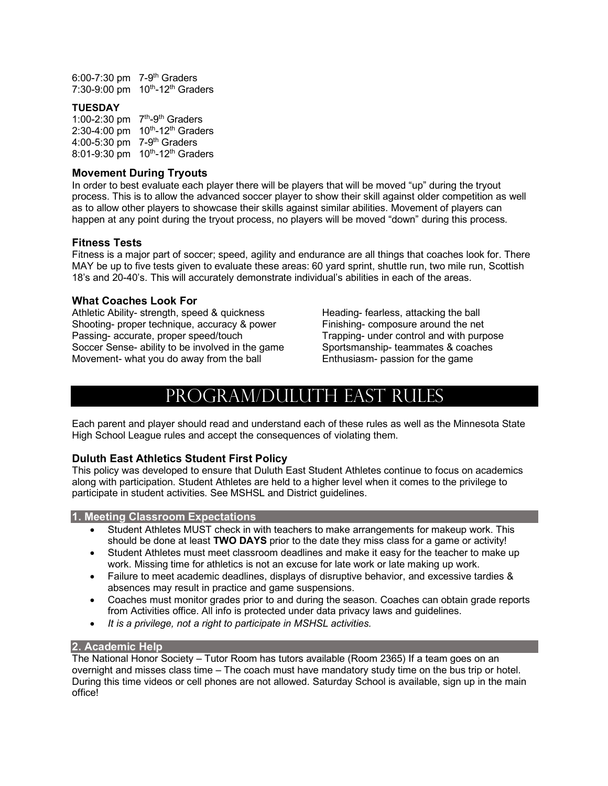6:00-7:30 pm 7-9th Graders 7:30-9:00 pm 10<sup>th</sup>-12<sup>th</sup> Graders

#### **TUESDAY**

1:00-2:30 pm  $7<sup>th</sup>$ -9<sup>th</sup> Graders 2:30-4:00 pm 10<sup>th</sup>-12<sup>th</sup> Graders 4:00-5:30 pm 7-9<sup>th</sup> Graders 8:01-9:30 pm  $10^{th}$ -12<sup>th</sup> Graders

#### **Movement During Tryouts**

In order to best evaluate each player there will be players that will be moved "up" during the tryout process. This is to allow the advanced soccer player to show their skill against older competition as well as to allow other players to showcase their skills against similar abilities. Movement of players can happen at any point during the tryout process, no players will be moved "down" during this process.

#### **Fitness Tests**

Fitness is a major part of soccer; speed, agility and endurance are all things that coaches look for. There MAY be up to five tests given to evaluate these areas: 60 yard sprint, shuttle run, two mile run, Scottish 18's and 20-40's. This will accurately demonstrate individual's abilities in each of the areas.

#### **What Coaches Look For**

Athletic Ability- strength, speed & quickness Heading- fearless, attacking the ball Shooting- proper technique, accuracy & power Finishing- composure around the net Passing- accurate, proper speed/touch Trapping- under control and with purpose Soccer Sense- ability to be involved in the game Sportsmanship- teammates & coaches Movement- what you do away from the ball Enthusiasm- passion for the game

## Program/Duluth East Rules

Each parent and player should read and understand each of these rules as well as the Minnesota State High School League rules and accept the consequences of violating them.

#### **Duluth East Athletics Student First Policy**

This policy was developed to ensure that Duluth East Student Athletes continue to focus on academics along with participation. Student Athletes are held to a higher level when it comes to the privilege to participate in student activities. See MSHSL and District guidelines.

#### **1. Meeting Classroom Expectations**

- Student Athletes MUST check in with teachers to make arrangements for makeup work. This should be done at least **TWO DAYS** prior to the date they miss class for a game or activity!
- Student Athletes must meet classroom deadlines and make it easy for the teacher to make up work. Missing time for athletics is not an excuse for late work or late making up work.
- Failure to meet academic deadlines, displays of disruptive behavior, and excessive tardies & absences may result in practice and game suspensions.
- Coaches must monitor grades prior to and during the season. Coaches can obtain grade reports from Activities office. All info is protected under data privacy laws and guidelines.
- *It is a privilege, not a right to participate in MSHSL activities.*

#### **2. Academic Help**

The National Honor Society – Tutor Room has tutors available (Room 2365) If a team goes on an overnight and misses class time – The coach must have mandatory study time on the bus trip or hotel. During this time videos or cell phones are not allowed. Saturday School is available, sign up in the main office!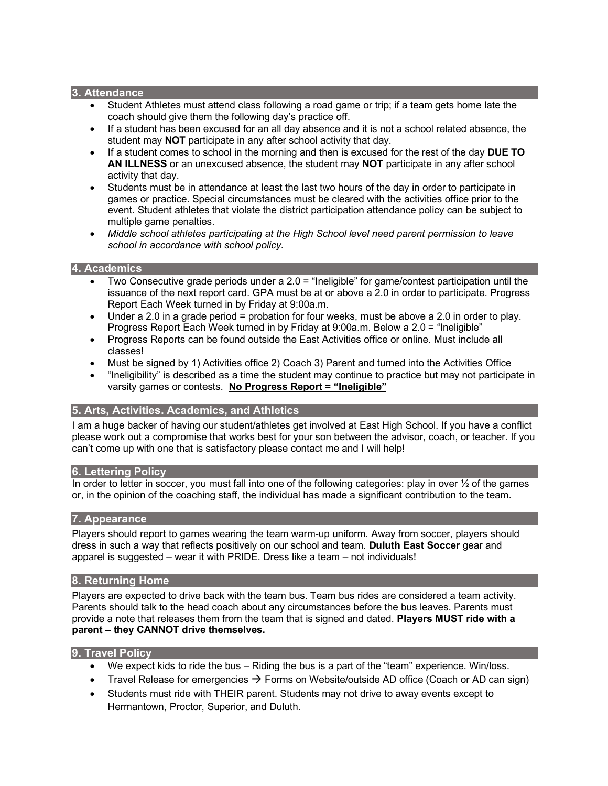#### **3. Attendance**

- Student Athletes must attend class following a road game or trip; if a team gets home late the coach should give them the following day's practice off.
- If a student has been excused for an all day absence and it is not a school related absence, the student may **NOT** participate in any after school activity that day.
- If a student comes to school in the morning and then is excused for the rest of the day **DUE TO AN ILLNESS** or an unexcused absence, the student may **NOT** participate in any after school activity that day.
- Students must be in attendance at least the last two hours of the day in order to participate in games or practice. Special circumstances must be cleared with the activities office prior to the event. Student athletes that violate the district participation attendance policy can be subject to multiple game penalties.
- *Middle school athletes participating at the High School level need parent permission to leave school in accordance with school policy.*

#### **4. Academics**

- Two Consecutive grade periods under a 2.0 = "Ineligible" for game/contest participation until the issuance of the next report card. GPA must be at or above a 2.0 in order to participate. Progress Report Each Week turned in by Friday at 9:00a.m.
- Under a 2.0 in a grade period = probation for four weeks, must be above a 2.0 in order to play. Progress Report Each Week turned in by Friday at 9:00a.m. Below a 2.0 = "Ineligible"
- Progress Reports can be found outside the East Activities office or online. Must include all classes!
- Must be signed by 1) Activities office 2) Coach 3) Parent and turned into the Activities Office
- "Ineligibility" is described as a time the student may continue to practice but may not participate in varsity games or contests. **No Progress Report = "Ineligible"**

#### **5. Arts, Activities. Academics, and Athletics**

I am a huge backer of having our student/athletes get involved at East High School. If you have a conflict please work out a compromise that works best for your son between the advisor, coach, or teacher. If you can't come up with one that is satisfactory please contact me and I will help!

#### **6. Lettering Policy**

In order to letter in soccer, you must fall into one of the following categories: play in over  $\frac{1}{2}$  of the games or, in the opinion of the coaching staff, the individual has made a significant contribution to the team.

#### **7. Appearance**

Players should report to games wearing the team warm-up uniform. Away from soccer, players should dress in such a way that reflects positively on our school and team. **Duluth East Soccer** gear and apparel is suggested – wear it with PRIDE. Dress like a team – not individuals!

#### **8. Returning Home**

Players are expected to drive back with the team bus. Team bus rides are considered a team activity. Parents should talk to the head coach about any circumstances before the bus leaves. Parents must provide a note that releases them from the team that is signed and dated. **Players MUST ride with a parent – they CANNOT drive themselves.**

#### **9. Travel Policy**

- We expect kids to ride the bus Riding the bus is a part of the "team" experience. Win/loss.
- Travel Release for emergencies  $\rightarrow$  Forms on Website/outside AD office (Coach or AD can sign)
- Students must ride with THEIR parent. Students may not drive to away events except to Hermantown, Proctor, Superior, and Duluth.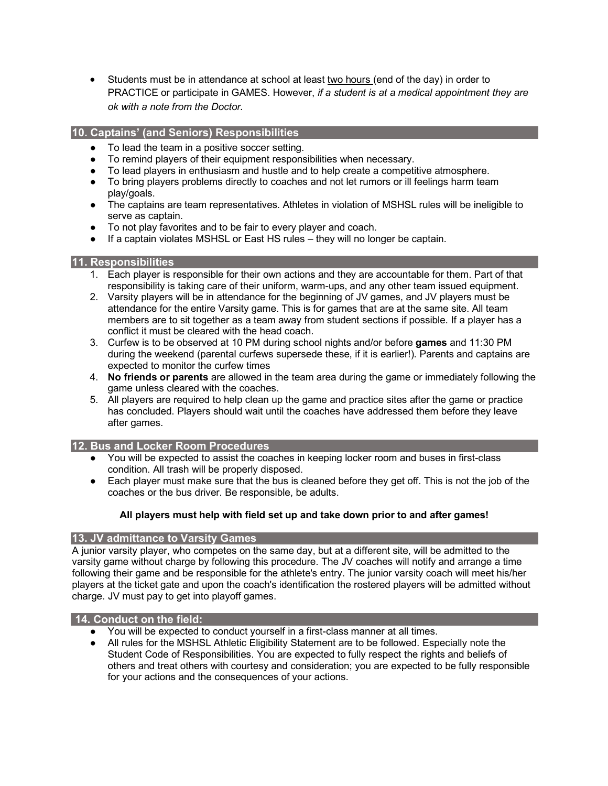• Students must be in attendance at school at least two hours (end of the day) in order to PRACTICE or participate in GAMES. However, *if a student is at a medical appointment they are ok with a note from the Doctor.* 

#### **10. Captains' (and Seniors) Responsibilities**

- To lead the team in a positive soccer setting.
- To remind players of their equipment responsibilities when necessary.
- To lead players in enthusiasm and hustle and to help create a competitive atmosphere.
- To bring players problems directly to coaches and not let rumors or ill feelings harm team play/goals.
- The captains are team representatives. Athletes in violation of MSHSL rules will be ineligible to serve as captain.
- To not play favorites and to be fair to every player and coach.
- If a captain violates MSHSL or East HS rules they will no longer be captain.

#### **11. Responsibilities**

- 1. Each player is responsible for their own actions and they are accountable for them. Part of that responsibility is taking care of their uniform, warm-ups, and any other team issued equipment.
- 2. Varsity players will be in attendance for the beginning of JV games, and JV players must be attendance for the entire Varsity game. This is for games that are at the same site. All team members are to sit together as a team away from student sections if possible. If a player has a conflict it must be cleared with the head coach.
- 3. Curfew is to be observed at 10 PM during school nights and/or before **games** and 11:30 PM during the weekend (parental curfews supersede these, if it is earlier!). Parents and captains are expected to monitor the curfew times
- 4. **No friends or parents** are allowed in the team area during the game or immediately following the game unless cleared with the coaches.
- 5. All players are required to help clean up the game and practice sites after the game or practice has concluded. Players should wait until the coaches have addressed them before they leave after games.

#### **12. Bus and Locker Room Procedures**

- You will be expected to assist the coaches in keeping locker room and buses in first-class condition. All trash will be properly disposed.
- Each player must make sure that the bus is cleaned before they get off. This is not the job of the coaches or the bus driver. Be responsible, be adults.

#### **All players must help with field set up and take down prior to and after games!**

#### **13. JV admittance to Varsity Games**

A junior varsity player, who competes on the same day, but at a different site, will be admitted to the varsity game without charge by following this procedure. The JV coaches will notify and arrange a time following their game and be responsible for the athlete's entry. The junior varsity coach will meet his/her players at the ticket gate and upon the coach's identification the rostered players will be admitted without charge. JV must pay to get into playoff games.

#### **14. Conduct on the field:**

- You will be expected to conduct yourself in a first-class manner at all times.
- All rules for the MSHSL Athletic Eligibility Statement are to be followed. Especially note the Student Code of Responsibilities. You are expected to fully respect the rights and beliefs of others and treat others with courtesy and consideration; you are expected to be fully responsible for your actions and the consequences of your actions.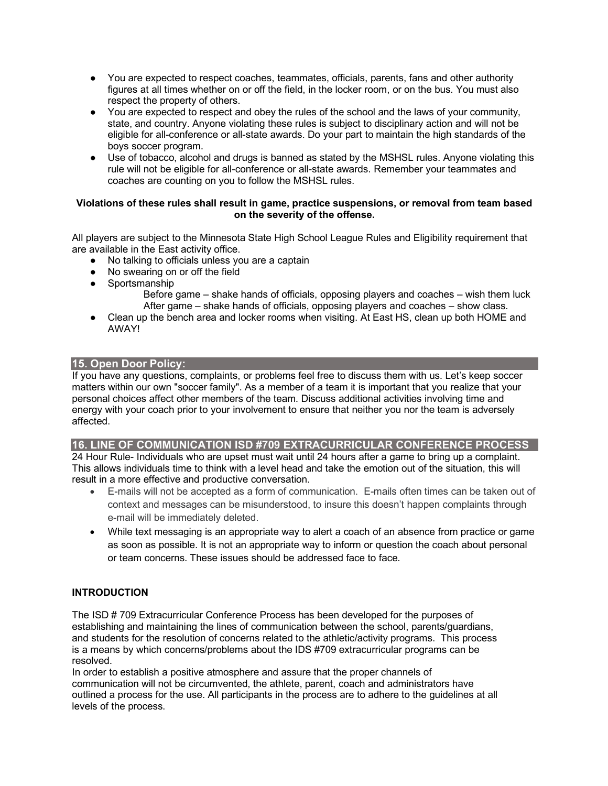- You are expected to respect coaches, teammates, officials, parents, fans and other authority figures at all times whether on or off the field, in the locker room, or on the bus. You must also respect the property of others.
- You are expected to respect and obey the rules of the school and the laws of your community, state, and country. Anyone violating these rules is subject to disciplinary action and will not be eligible for all-conference or all-state awards. Do your part to maintain the high standards of the boys soccer program.
- Use of tobacco, alcohol and drugs is banned as stated by the MSHSL rules. Anyone violating this rule will not be eligible for all-conference or all-state awards. Remember your teammates and coaches are counting on you to follow the MSHSL rules.

#### **Violations of these rules shall result in game, practice suspensions, or removal from team based on the severity of the offense.**

All players are subject to the Minnesota State High School League Rules and Eligibility requirement that are available in the East activity office.

- No talking to officials unless you are a captain
- No swearing on or off the field
- Sportsmanship
	- Before game shake hands of officials, opposing players and coaches wish them luck After game – shake hands of officials, opposing players and coaches – show class.
- Clean up the bench area and locker rooms when visiting. At East HS, clean up both HOME and AWAY!

#### **15. Open Door Policy:**

If you have any questions, complaints, or problems feel free to discuss them with us. Let's keep soccer matters within our own "soccer family". As a member of a team it is important that you realize that your personal choices affect other members of the team. Discuss additional activities involving time and energy with your coach prior to your involvement to ensure that neither you nor the team is adversely affected.

#### **16. LINE OF COMMUNICATION ISD #709 EXTRACURRICULAR CONFERENCE PROCESS**

24 Hour Rule- Individuals who are upset must wait until 24 hours after a game to bring up a complaint. This allows individuals time to think with a level head and take the emotion out of the situation, this will result in a more effective and productive conversation.

- E-mails will not be accepted as a form of communication. E-mails often times can be taken out of context and messages can be misunderstood, to insure this doesn't happen complaints through e-mail will be immediately deleted.
- While text messaging is an appropriate way to alert a coach of an absence from practice or game as soon as possible. It is not an appropriate way to inform or question the coach about personal or team concerns. These issues should be addressed face to face.

#### **INTRODUCTION**

The ISD # 709 Extracurricular Conference Process has been developed for the purposes of establishing and maintaining the lines of communication between the school, parents/guardians, and students for the resolution of concerns related to the athletic/activity programs. This process is a means by which concerns/problems about the IDS #709 extracurricular programs can be resolved.

In order to establish a positive atmosphere and assure that the proper channels of communication will not be circumvented, the athlete, parent, coach and administrators have outlined a process for the use. All participants in the process are to adhere to the guidelines at all levels of the process.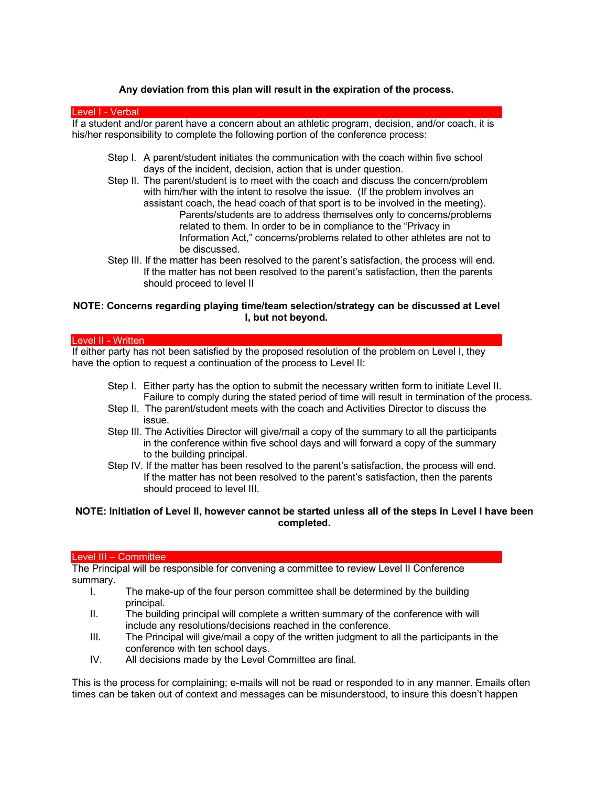#### **Any deviation from this plan will result in the expiration of the process.**

#### Level I - Verbal

If a student and/or parent have a concern about an athletic program, decision, and/or coach, it is his/her responsibility to complete the following portion of the conference process:

- Step I. A parent/student initiates the communication with the coach within five school days of the incident, decision, action that is under question.
- Step II. The parent/student is to meet with the coach and discuss the concern/problem with him/her with the intent to resolve the issue. (If the problem involves an assistant coach, the head coach of that sport is to be involved in the meeting). Parents/students are to address themselves only to concerns/problems related to them. In order to be in compliance to the "Privacy in Information Act," concerns/problems related to other athletes are not to be discussed.
- Step III. If the matter has been resolved to the parent's satisfaction, the process will end. If the matter has not been resolved to the parent's satisfaction, then the parents should proceed to level II

#### **NOTE: Concerns regarding playing time/team selection/strategy can be discussed at Level I, but not beyond.**

#### Level II - Written

If either party has not been satisfied by the proposed resolution of the problem on Level I, they have the option to request a continuation of the process to Level II:

- Step I. Either party has the option to submit the necessary written form to initiate Level II. Failure to comply during the stated period of time will result in termination of the process.
- Step II. The parent/student meets with the coach and Activities Director to discuss the issue.
- Step III. The Activities Director will give/mail a copy of the summary to all the participants in the conference within five school days and will forward a copy of the summary to the building principal.
- Step IV. If the matter has been resolved to the parent's satisfaction, the process will end. If the matter has not been resolved to the parent's satisfaction, then the parents should proceed to level III.

#### **NOTE: Initiation of Level II, however cannot be started unless all of the steps in Level I have been completed.**

#### Level III – Committee

The Principal will be responsible for convening a committee to review Level II Conference summary.

- I. The make-up of the four person committee shall be determined by the building principal.
- II. The building principal will complete a written summary of the conference with will include any resolutions/decisions reached in the conference.
- III. The Principal will give/mail a copy of the written judgment to all the participants in the conference with ten school days.
- IV. All decisions made by the Level Committee are final.

This is the process for complaining; e-mails will not be read or responded to in any manner. Emails often times can be taken out of context and messages can be misunderstood, to insure this doesn't happen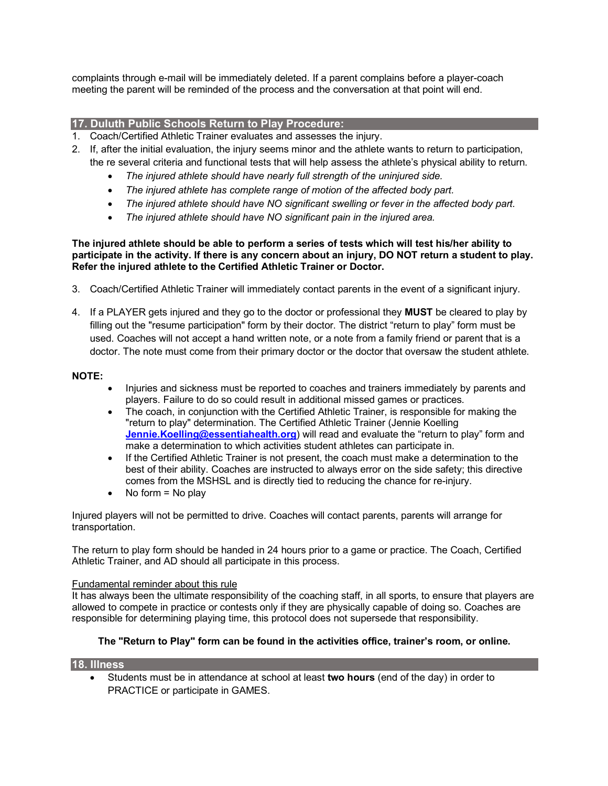complaints through e-mail will be immediately deleted. If a parent complains before a player-coach meeting the parent will be reminded of the process and the conversation at that point will end.

#### **17. Duluth Public Schools Return to Play Procedure:**

- 1. Coach/Certified Athletic Trainer evaluates and assesses the injury.
- 2. If, after the initial evaluation, the injury seems minor and the athlete wants to return to participation, the re several criteria and functional tests that will help assess the athlete's physical ability to return.
	- *The injured athlete should have nearly full strength of the uninjured side.*
	- *The injured athlete has complete range of motion of the affected body part.*
	- *The injured athlete should have NO significant swelling or fever in the affected body part.*
	- *The injured athlete should have NO significant pain in the injured area.*

#### **The injured athlete should be able to perform a series of tests which will test his/her ability to participate in the activity. If there is any concern about an injury, DO NOT return a student to play. Refer the injured athlete to the Certified Athletic Trainer or Doctor.**

- 3. Coach/Certified Athletic Trainer will immediately contact parents in the event of a significant injury.
- 4. If a PLAYER gets injured and they go to the doctor or professional they **MUST** be cleared to play by filling out the "resume participation" form by their doctor. The district "return to play" form must be used. Coaches will not accept a hand written note, or a note from a family friend or parent that is a doctor. The note must come from their primary doctor or the doctor that oversaw the student athlete.

#### **NOTE:**

- Injuries and sickness must be reported to coaches and trainers immediately by parents and players. Failure to do so could result in additional missed games or practices.
- The coach, in conjunction with the Certified Athletic Trainer, is responsible for making the "return to play" determination. The Certified Athletic Trainer (Jennie Koelling **Jennie.Koelling@essentiahealth.org**) will read and evaluate the "return to play" form and make a determination to which activities student athletes can participate in.
- If the Certified Athletic Trainer is not present, the coach must make a determination to the best of their ability. Coaches are instructed to always error on the side safety; this directive comes from the MSHSL and is directly tied to reducing the chance for re-injury.
- No form  $=$  No play

Injured players will not be permitted to drive. Coaches will contact parents, parents will arrange for transportation.

The return to play form should be handed in 24 hours prior to a game or practice. The Coach, Certified Athletic Trainer, and AD should all participate in this process.

#### Fundamental reminder about this rule

It has always been the ultimate responsibility of the coaching staff, in all sports, to ensure that players are allowed to compete in practice or contests only if they are physically capable of doing so. Coaches are responsible for determining playing time, this protocol does not supersede that responsibility.

#### **The "Return to Play" form can be found in the activities office, trainer's room, or online.**

#### **18. Illness**

• Students must be in attendance at school at least **two hours** (end of the day) in order to PRACTICE or participate in GAMES.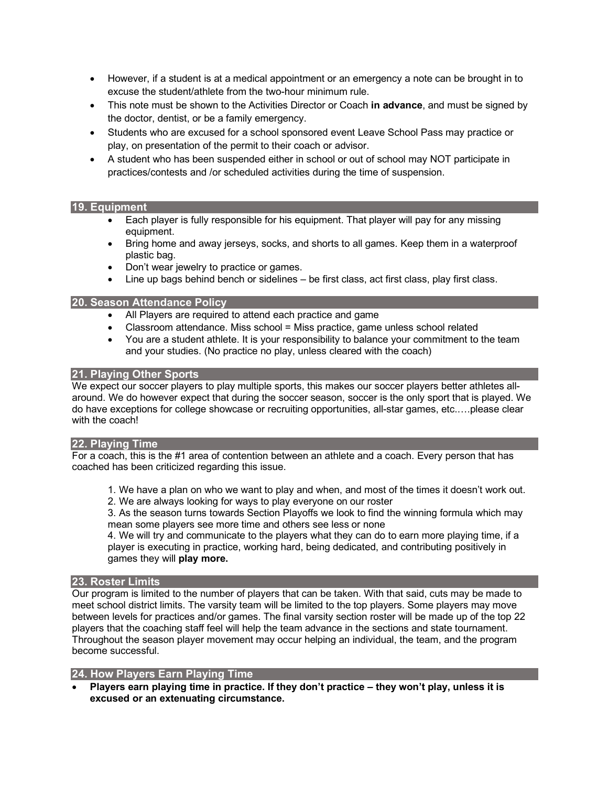- However, if a student is at a medical appointment or an emergency a note can be brought in to excuse the student/athlete from the two-hour minimum rule.
- This note must be shown to the Activities Director or Coach **in advance**, and must be signed by the doctor, dentist, or be a family emergency.
- Students who are excused for a school sponsored event Leave School Pass may practice or play, on presentation of the permit to their coach or advisor.
- A student who has been suspended either in school or out of school may NOT participate in practices/contests and /or scheduled activities during the time of suspension.

#### **19. Equipment**

- Each player is fully responsible for his equipment. That player will pay for any missing equipment.
- Bring home and away jerseys, socks, and shorts to all games. Keep them in a waterproof plastic bag.
- Don't wear jewelry to practice or games.
- Line up bags behind bench or sidelines be first class, act first class, play first class.

#### **20. Season Attendance Policy**

- All Players are required to attend each practice and game
- Classroom attendance. Miss school = Miss practice, game unless school related
- You are a student athlete. It is your responsibility to balance your commitment to the team and your studies. (No practice no play, unless cleared with the coach)

#### **21. Playing Other Sports**

We expect our soccer players to play multiple sports, this makes our soccer players better athletes allaround. We do however expect that during the soccer season, soccer is the only sport that is played. We do have exceptions for college showcase or recruiting opportunities, all-star games, etc.….please clear with the coach!

#### **22. Playing Time**

For a coach, this is the #1 area of contention between an athlete and a coach. Every person that has coached has been criticized regarding this issue.

- 1. We have a plan on who we want to play and when, and most of the times it doesn't work out.
- 2. We are always looking for ways to play everyone on our roster

3. As the season turns towards Section Playoffs we look to find the winning formula which may mean some players see more time and others see less or none

4. We will try and communicate to the players what they can do to earn more playing time, if a player is executing in practice, working hard, being dedicated, and contributing positively in games they will **play more.** 

#### **23. Roster Limits**

Our program is limited to the number of players that can be taken. With that said, cuts may be made to meet school district limits. The varsity team will be limited to the top players. Some players may move between levels for practices and/or games. The final varsity section roster will be made up of the top 22 players that the coaching staff feel will help the team advance in the sections and state tournament. Throughout the season player movement may occur helping an individual, the team, and the program become successful.

#### **24. How Players Earn Playing Time**

• **Players earn playing time in practice. If they don't practice – they won't play, unless it is excused or an extenuating circumstance.**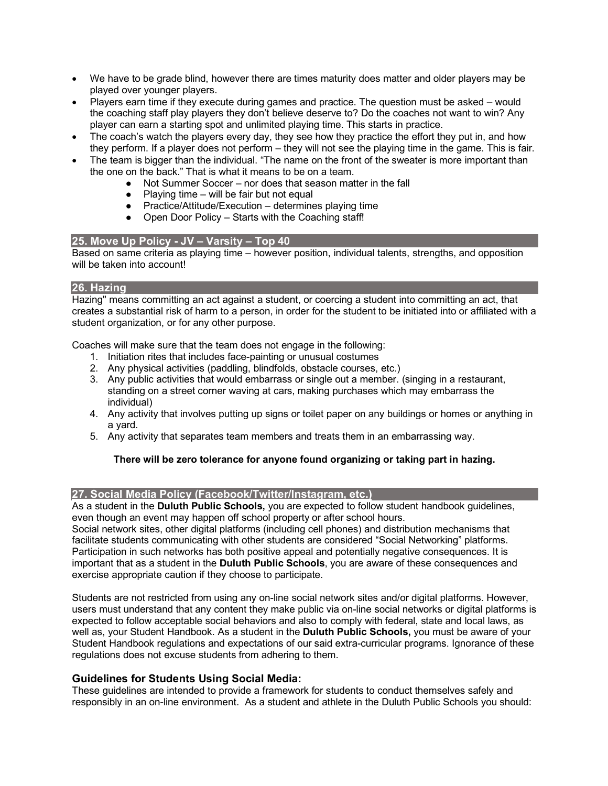- We have to be grade blind, however there are times maturity does matter and older players may be played over younger players.
- Players earn time if they execute during games and practice. The question must be asked would the coaching staff play players they don't believe deserve to? Do the coaches not want to win? Any player can earn a starting spot and unlimited playing time. This starts in practice.
- The coach's watch the players every day, they see how they practice the effort they put in, and how they perform. If a player does not perform – they will not see the playing time in the game. This is fair.
- The team is bigger than the individual. "The name on the front of the sweater is more important than the one on the back." That is what it means to be on a team.
	- Not Summer Soccer nor does that season matter in the fall
	- $\bullet$  Playing time will be fair but not equal
	- Practice/Attitude/Execution determines playing time
	- Open Door Policy Starts with the Coaching staff!

#### **25. Move Up Policy - JV – Varsity – Top 40**

Based on same criteria as playing time – however position, individual talents, strengths, and opposition will be taken into account!

#### **26. Hazing**

Hazing" means committing an act against a student, or coercing a student into committing an act, that creates a substantial risk of harm to a person, in order for the student to be initiated into or affiliated with a student organization, or for any other purpose.

Coaches will make sure that the team does not engage in the following:

- 1. Initiation rites that includes face-painting or unusual costumes
- 2. Any physical activities (paddling, blindfolds, obstacle courses, etc.)
- 3. Any public activities that would embarrass or single out a member. (singing in a restaurant, standing on a street corner waving at cars, making purchases which may embarrass the individual)
- 4. Any activity that involves putting up signs or toilet paper on any buildings or homes or anything in a yard.
- 5. Any activity that separates team members and treats them in an embarrassing way.

#### **There will be zero tolerance for anyone found organizing or taking part in hazing.**

#### **27. Social Media Policy (Facebook/Twitter/Instagram, etc.)**

As a student in the **Duluth Public Schools,** you are expected to follow student handbook guidelines, even though an event may happen off school property or after school hours.

Social network sites, other digital platforms (including cell phones) and distribution mechanisms that facilitate students communicating with other students are considered "Social Networking" platforms. Participation in such networks has both positive appeal and potentially negative consequences. It is important that as a student in the **Duluth Public Schools**, you are aware of these consequences and exercise appropriate caution if they choose to participate.

Students are not restricted from using any on-line social network sites and/or digital platforms. However, users must understand that any content they make public via on-line social networks or digital platforms is expected to follow acceptable social behaviors and also to comply with federal, state and local laws, as well as, your Student Handbook. As a student in the **Duluth Public Schools,** you must be aware of your Student Handbook regulations and expectations of our said extra-curricular programs. Ignorance of these regulations does not excuse students from adhering to them.

#### **Guidelines for Students Using Social Media:**

These guidelines are intended to provide a framework for students to conduct themselves safely and responsibly in an on-line environment. As a student and athlete in the Duluth Public Schools you should: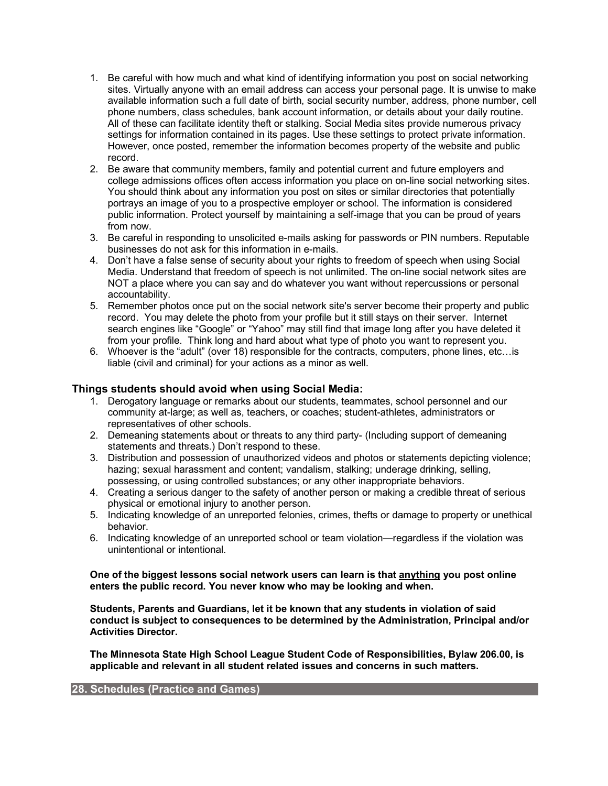- 1. Be careful with how much and what kind of identifying information you post on social networking sites. Virtually anyone with an email address can access your personal page. It is unwise to make available information such a full date of birth, social security number, address, phone number, cell phone numbers, class schedules, bank account information, or details about your daily routine. All of these can facilitate identity theft or stalking. Social Media sites provide numerous privacy settings for information contained in its pages. Use these settings to protect private information. However, once posted, remember the information becomes property of the website and public record.
- 2. Be aware that community members, family and potential current and future employers and college admissions offices often access information you place on on-line social networking sites. You should think about any information you post on sites or similar directories that potentially portrays an image of you to a prospective employer or school. The information is considered public information. Protect yourself by maintaining a self-image that you can be proud of years from now.
- 3. Be careful in responding to unsolicited e-mails asking for passwords or PIN numbers. Reputable businesses do not ask for this information in e-mails.
- 4. Don't have a false sense of security about your rights to freedom of speech when using Social Media. Understand that freedom of speech is not unlimited. The on-line social network sites are NOT a place where you can say and do whatever you want without repercussions or personal accountability.
- 5. Remember photos once put on the social network site's server become their property and public record. You may delete the photo from your profile but it still stays on their server. Internet search engines like "Google" or "Yahoo" may still find that image long after you have deleted it from your profile. Think long and hard about what type of photo you want to represent you.
- 6. Whoever is the "adult" (over 18) responsible for the contracts, computers, phone lines, etc…is liable (civil and criminal) for your actions as a minor as well.

#### **Things students should avoid when using Social Media:**

- 1. Derogatory language or remarks about our students, teammates, school personnel and our community at-large; as well as, teachers, or coaches; student-athletes, administrators or representatives of other schools.
- 2. Demeaning statements about or threats to any third party- (Including support of demeaning statements and threats.) Don't respond to these.
- 3. Distribution and possession of unauthorized videos and photos or statements depicting violence; hazing; sexual harassment and content; vandalism, stalking; underage drinking, selling, possessing, or using controlled substances; or any other inappropriate behaviors.
- 4. Creating a serious danger to the safety of another person or making a credible threat of serious physical or emotional injury to another person.
- 5. Indicating knowledge of an unreported felonies, crimes, thefts or damage to property or unethical behavior.
- 6. Indicating knowledge of an unreported school or team violation—regardless if the violation was unintentional or intentional.

#### **One of the biggest lessons social network users can learn is that anything you post online enters the public record. You never know who may be looking and when.**

**Students, Parents and Guardians, let it be known that any students in violation of said conduct is subject to consequences to be determined by the Administration, Principal and/or Activities Director.**

**The Minnesota State High School League Student Code of Responsibilities, Bylaw 206.00, is applicable and relevant in all student related issues and concerns in such matters.**